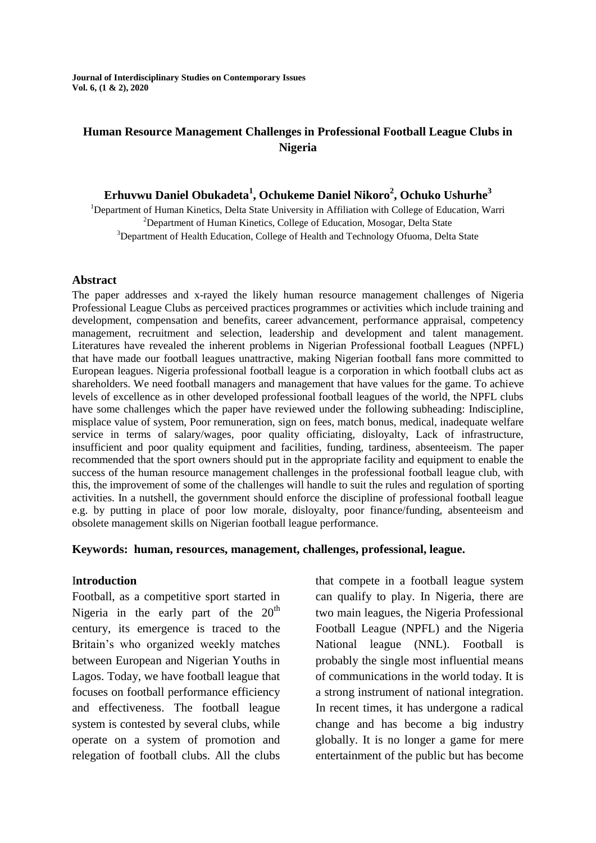**Journal of Interdisciplinary Studies on Contemporary Issues Vol. 6, (1 & 2), 2020**

## **Human Resource Management Challenges in Professional Football League Clubs in Nigeria**

## **Erhuvwu Daniel Obukadeta<sup>1</sup> , Ochukeme Daniel Nikoro<sup>2</sup> , Ochuko Ushurhe<sup>3</sup>**

<sup>1</sup>Department of Human Kinetics, Delta State University in Affiliation with College of Education, Warri <sup>2</sup>Department of Human Kinetics, College of Education, Mosogar, Delta State <sup>3</sup>Department of Health Education, College of Health and Technology Ofuoma, Delta State

#### **Abstract**

The paper addresses and x-rayed the likely human resource management challenges of Nigeria Professional League Clubs as perceived practices programmes or activities which include training and development, compensation and benefits, career advancement, performance appraisal, competency management, recruitment and selection, leadership and development and talent management. Literatures have revealed the inherent problems in Nigerian Professional football Leagues (NPFL) that have made our football leagues unattractive, making Nigerian football fans more committed to European leagues. Nigeria professional football league is a corporation in which football clubs act as shareholders. We need football managers and management that have values for the game. To achieve levels of excellence as in other developed professional football leagues of the world, the NPFL clubs have some challenges which the paper have reviewed under the following subheading: Indiscipline, misplace value of system, Poor remuneration, sign on fees, match bonus, medical, inadequate welfare service in terms of salary/wages, poor quality officiating, disloyalty, Lack of infrastructure, insufficient and poor quality equipment and facilities, funding, tardiness, absenteeism. The paper recommended that the sport owners should put in the appropriate facility and equipment to enable the success of the human resource management challenges in the professional football league club, with this, the improvement of some of the challenges will handle to suit the rules and regulation of sporting activities. In a nutshell, the government should enforce the discipline of professional football league e.g. by putting in place of poor low morale, disloyalty, poor finance/funding, absenteeism and obsolete management skills on Nigerian football league performance.

#### **Keywords: human, resources, management, challenges, professional, league.**

### I**ntroduction**

Football, as a competitive sport started in Nigeria in the early part of the  $20<sup>th</sup>$ century, its emergence is traced to the Britain's who organized weekly matches between European and Nigerian Youths in Lagos. Today, we have football league that focuses on football performance efficiency and effectiveness. The football league system is contested by several clubs, while operate on a system of promotion and relegation of football clubs. All the clubs

that compete in a football league system can qualify to play. In Nigeria, there are two main leagues, the Nigeria Professional Football League (NPFL) and the Nigeria National league (NNL). Football is probably the single most influential means of communications in the world today. It is a strong instrument of national integration. In recent times, it has undergone a radical change and has become a big industry globally. It is no longer a game for mere entertainment of the public but has become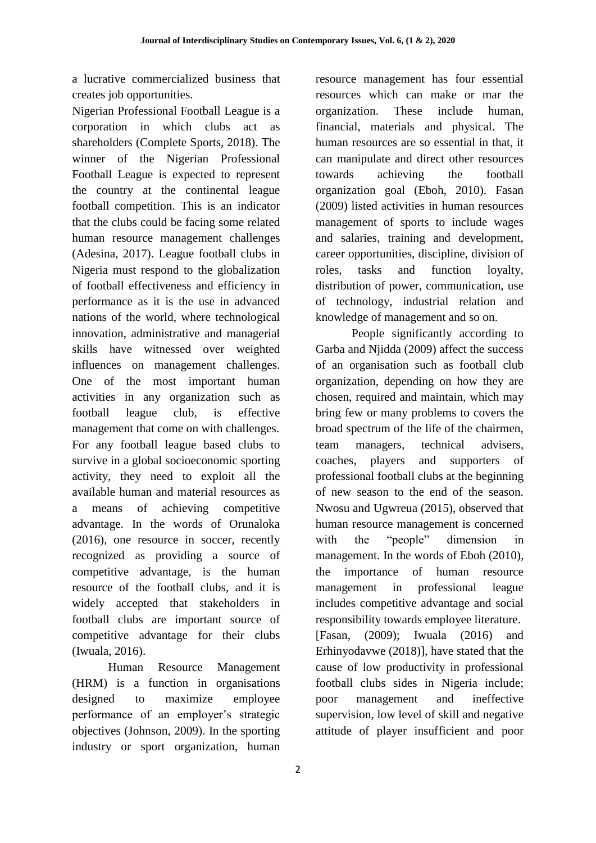a lucrative commercialized business that creates job opportunities.

Nigerian Professional Football League is a corporation in which clubs act as shareholders (Complete Sports, 2018). The winner of the Nigerian Professional Football League is expected to represent the country at the continental league football competition. This is an indicator that the clubs could be facing some related human resource management challenges (Adesina, 2017). League football clubs in Nigeria must respond to the globalization of football effectiveness and efficiency in performance as it is the use in advanced nations of the world, where technological innovation, administrative and managerial skills have witnessed over weighted influences on management challenges. One of the most important human activities in any organization such as football league club, is effective management that come on with challenges. For any football league based clubs to survive in a global socioeconomic sporting activity, they need to exploit all the available human and material resources as a means of achieving competitive advantage. In the words of Orunaloka (2016), one resource in soccer, recently recognized as providing a source of competitive advantage, is the human resource of the football clubs, and it is widely accepted that stakeholders in football clubs are important source of competitive advantage for their clubs (Iwuala, 2016).

Human Resource Management (HRM) is a function in organisations designed to maximize employee performance of an employer's strategic objectives (Johnson, 2009). In the sporting industry or sport organization, human resource management has four essential resources which can make or mar the organization. These include human, financial, materials and physical. The human resources are so essential in that, it can manipulate and direct other resources towards achieving the football organization goal (Eboh, 2010). Fasan (2009) listed activities in human resources management of sports to include wages and salaries, training and development, career opportunities, discipline, division of roles, tasks and function loyalty, distribution of power, communication, use of technology, industrial relation and knowledge of management and so on.

People significantly according to Garba and Njidda (2009) affect the success of an organisation such as football club organization, depending on how they are chosen, required and maintain, which may bring few or many problems to covers the broad spectrum of the life of the chairmen, team managers, technical advisers, coaches, players and supporters of professional football clubs at the beginning of new season to the end of the season. Nwosu and Ugwreua (2015), observed that human resource management is concerned with the "people" dimension in management. In the words of Eboh (2010), the importance of human resource management in professional league includes competitive advantage and social responsibility towards employee literature. [Fasan, (2009); Iwuala (2016) and Erhinyodavwe (2018)], have stated that the cause of low productivity in professional football clubs sides in Nigeria include; poor management and ineffective supervision, low level of skill and negative attitude of player insufficient and poor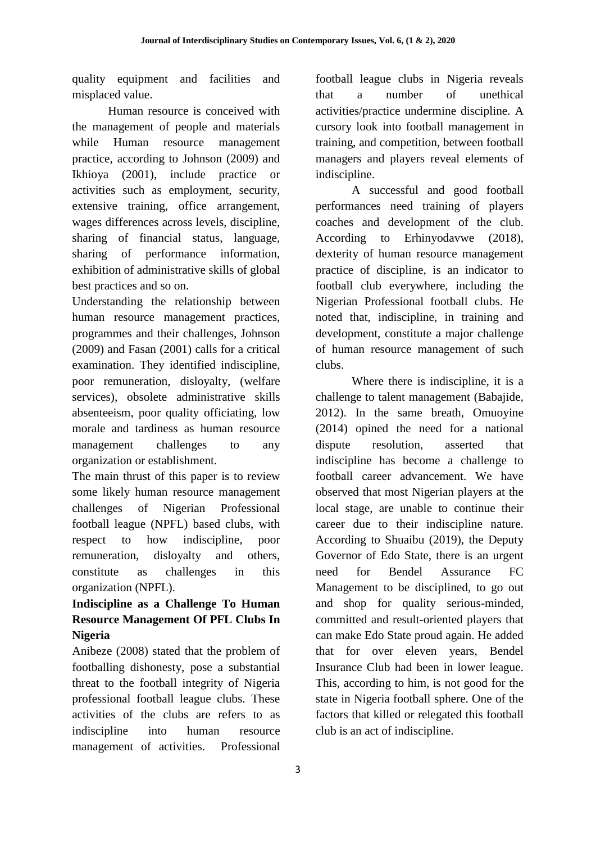quality equipment and facilities and misplaced value.

Human resource is conceived with the management of people and materials while Human resource management practice, according to Johnson (2009) and Ikhioya (2001), include practice or activities such as employment, security, extensive training, office arrangement, wages differences across levels, discipline, sharing of financial status, language, sharing of performance information, exhibition of administrative skills of global best practices and so on.

Understanding the relationship between human resource management practices, programmes and their challenges, Johnson (2009) and Fasan (2001) calls for a critical examination. They identified indiscipline, poor remuneration, disloyalty, (welfare services), obsolete administrative skills absenteeism, poor quality officiating, low morale and tardiness as human resource management challenges to any organization or establishment.

The main thrust of this paper is to review some likely human resource management challenges of Nigerian Professional football league (NPFL) based clubs, with respect to how indiscipline, poor remuneration, disloyalty and others, constitute as challenges in this organization (NPFL).

# **Indiscipline as a Challenge To Human Resource Management Of PFL Clubs In Nigeria**

Anibeze (2008) stated that the problem of footballing dishonesty, pose a substantial threat to the football integrity of Nigeria professional football league clubs. These activities of the clubs are refers to as indiscipline into human resource management of activities. Professional

football league clubs in Nigeria reveals that a number of unethical activities/practice undermine discipline. A cursory look into football management in training, and competition, between football managers and players reveal elements of indiscipline.

A successful and good football performances need training of players coaches and development of the club. According to Erhinyodavwe (2018), dexterity of human resource management practice of discipline, is an indicator to football club everywhere, including the Nigerian Professional football clubs. He noted that, indiscipline, in training and development, constitute a major challenge of human resource management of such clubs.

Where there is indiscipline, it is a challenge to talent management (Babajide, 2012). In the same breath, Omuoyine (2014) opined the need for a national dispute resolution, asserted that indiscipline has become a challenge to football career advancement. We have observed that most Nigerian players at the local stage, are unable to continue their career due to their indiscipline nature. According to Shuaibu (2019), the Deputy Governor of Edo State, there is an urgent need for Bendel Assurance FC Management to be disciplined, to go out and shop for quality serious-minded, committed and result-oriented players that can make Edo State proud again. He added that for over eleven years, Bendel Insurance Club had been in lower league. This, according to him, is not good for the state in Nigeria football sphere. One of the factors that killed or relegated this football club is an act of indiscipline.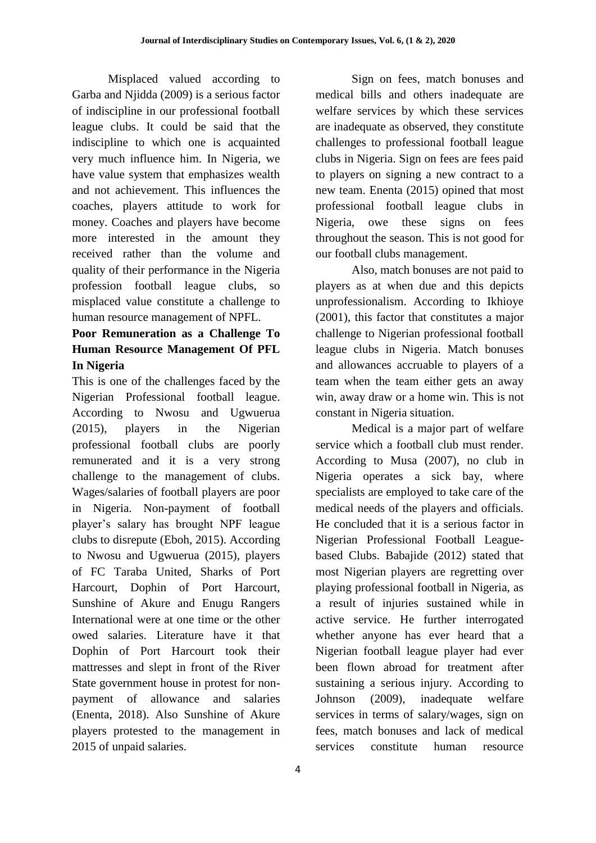Misplaced valued according to Garba and Njidda (2009) is a serious factor of indiscipline in our professional football league clubs. It could be said that the indiscipline to which one is acquainted very much influence him. In Nigeria, we have value system that emphasizes wealth and not achievement. This influences the coaches, players attitude to work for money. Coaches and players have become more interested in the amount they received rather than the volume and quality of their performance in the Nigeria profession football league clubs, so misplaced value constitute a challenge to human resource management of NPFL.

# **Poor Remuneration as a Challenge To Human Resource Management Of PFL In Nigeria**

This is one of the challenges faced by the Nigerian Professional football league. According to Nwosu and Ugwuerua (2015), players in the Nigerian professional football clubs are poorly remunerated and it is a very strong challenge to the management of clubs. Wages/salaries of football players are poor in Nigeria. Non-payment of football player's salary has brought NPF league clubs to disrepute (Eboh, 2015). According to Nwosu and Ugwuerua (2015), players of FC Taraba United, Sharks of Port Harcourt, Dophin of Port Harcourt, Sunshine of Akure and Enugu Rangers International were at one time or the other owed salaries. Literature have it that Dophin of Port Harcourt took their mattresses and slept in front of the River State government house in protest for nonpayment of allowance and salaries (Enenta, 2018). Also Sunshine of Akure players protested to the management in 2015 of unpaid salaries.

Sign on fees, match bonuses and medical bills and others inadequate are welfare services by which these services are inadequate as observed, they constitute challenges to professional football league clubs in Nigeria. Sign on fees are fees paid to players on signing a new contract to a new team. Enenta (2015) opined that most professional football league clubs in Nigeria, owe these signs on fees throughout the season. This is not good for our football clubs management.

Also, match bonuses are not paid to players as at when due and this depicts unprofessionalism. According to Ikhioye (2001), this factor that constitutes a major challenge to Nigerian professional football league clubs in Nigeria. Match bonuses and allowances accruable to players of a team when the team either gets an away win, away draw or a home win. This is not constant in Nigeria situation.

Medical is a major part of welfare service which a football club must render. According to Musa (2007), no club in Nigeria operates a sick bay, where specialists are employed to take care of the medical needs of the players and officials. He concluded that it is a serious factor in Nigerian Professional Football Leaguebased Clubs. Babajide (2012) stated that most Nigerian players are regretting over playing professional football in Nigeria, as a result of injuries sustained while in active service. He further interrogated whether anyone has ever heard that a Nigerian football league player had ever been flown abroad for treatment after sustaining a serious injury. According to Johnson (2009), inadequate welfare services in terms of salary/wages, sign on fees, match bonuses and lack of medical services constitute human resource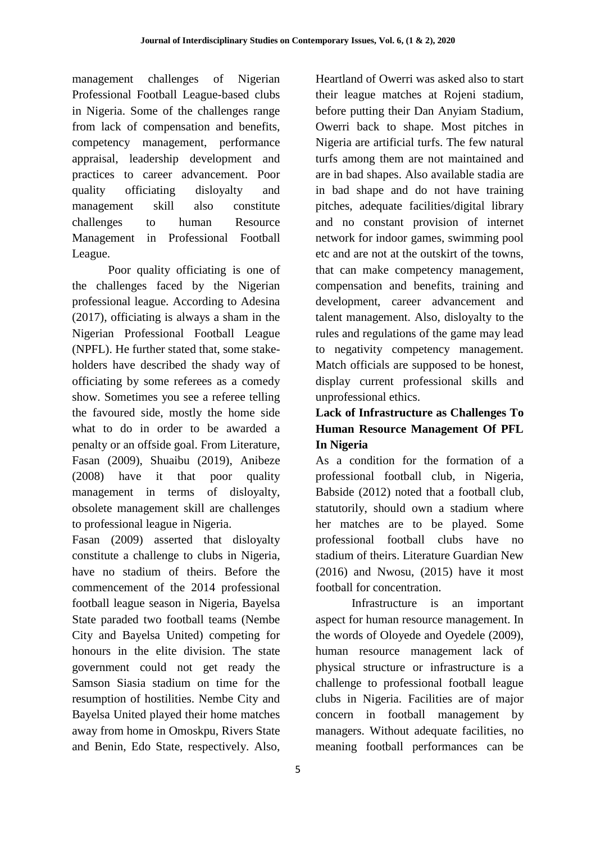management challenges of Nigerian Professional Football League-based clubs in Nigeria. Some of the challenges range from lack of compensation and benefits, competency management, performance appraisal, leadership development and practices to career advancement. Poor quality officiating disloyalty and management skill also constitute challenges to human Resource Management in Professional Football League.

Poor quality officiating is one of the challenges faced by the Nigerian professional league. According to Adesina (2017), officiating is always a sham in the Nigerian Professional Football League (NPFL). He further stated that, some stakeholders have described the shady way of officiating by some referees as a comedy show. Sometimes you see a referee telling the favoured side, mostly the home side what to do in order to be awarded a penalty or an offside goal. From Literature, Fasan (2009), Shuaibu (2019), Anibeze (2008) have it that poor quality management in terms of disloyalty, obsolete management skill are challenges to professional league in Nigeria.

Fasan (2009) asserted that disloyalty constitute a challenge to clubs in Nigeria, have no stadium of theirs. Before the commencement of the 2014 professional football league season in Nigeria, Bayelsa State paraded two football teams (Nembe City and Bayelsa United) competing for honours in the elite division. The state government could not get ready the Samson Siasia stadium on time for the resumption of hostilities. Nembe City and Bayelsa United played their home matches away from home in Omoskpu, Rivers State and Benin, Edo State, respectively. Also,

Heartland of Owerri was asked also to start their league matches at Rojeni stadium, before putting their Dan Anyiam Stadium, Owerri back to shape. Most pitches in Nigeria are artificial turfs. The few natural turfs among them are not maintained and are in bad shapes. Also available stadia are in bad shape and do not have training pitches, adequate facilities/digital library and no constant provision of internet network for indoor games, swimming pool etc and are not at the outskirt of the towns, that can make competency management, compensation and benefits, training and development, career advancement and talent management. Also, disloyalty to the rules and regulations of the game may lead to negativity competency management. Match officials are supposed to be honest, display current professional skills and unprofessional ethics.

# **Lack of Infrastructure as Challenges To Human Resource Management Of PFL In Nigeria**

As a condition for the formation of a professional football club, in Nigeria, Babside (2012) noted that a football club, statutorily, should own a stadium where her matches are to be played. Some professional football clubs have no stadium of theirs. Literature Guardian New (2016) and Nwosu, (2015) have it most football for concentration.

Infrastructure is an important aspect for human resource management. In the words of Oloyede and Oyedele (2009), human resource management lack of physical structure or infrastructure is a challenge to professional football league clubs in Nigeria. Facilities are of major concern in football management by managers. Without adequate facilities, no meaning football performances can be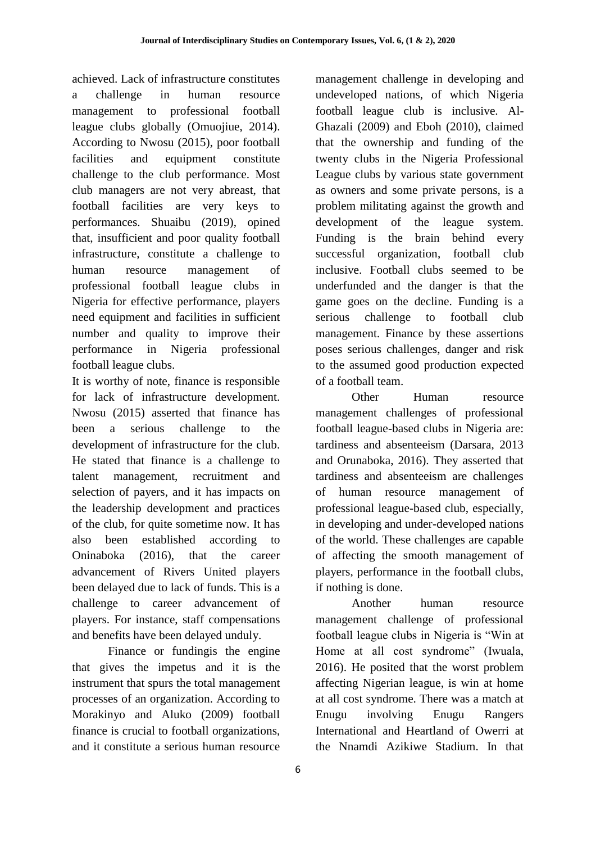achieved. Lack of infrastructure constitutes a challenge in human resource management to professional football league clubs globally (Omuojiue, 2014). According to Nwosu (2015), poor football facilities and equipment constitute challenge to the club performance. Most club managers are not very abreast, that football facilities are very keys to performances. Shuaibu (2019), opined that, insufficient and poor quality football infrastructure, constitute a challenge to human resource management of professional football league clubs in Nigeria for effective performance, players need equipment and facilities in sufficient number and quality to improve their performance in Nigeria professional football league clubs.

It is worthy of note, finance is responsible for lack of infrastructure development. Nwosu (2015) asserted that finance has been a serious challenge to the development of infrastructure for the club. He stated that finance is a challenge to talent management, recruitment and selection of payers, and it has impacts on the leadership development and practices of the club, for quite sometime now. It has also been established according to Oninaboka (2016), that the career advancement of Rivers United players been delayed due to lack of funds. This is a challenge to career advancement of players. For instance, staff compensations and benefits have been delayed unduly.

Finance or fundingis the engine that gives the impetus and it is the instrument that spurs the total management processes of an organization. According to Morakinyo and Aluko (2009) football finance is crucial to football organizations, and it constitute a serious human resource

management challenge in developing and undeveloped nations, of which Nigeria football league club is inclusive. Al-Ghazali (2009) and Eboh (2010), claimed that the ownership and funding of the twenty clubs in the Nigeria Professional League clubs by various state government as owners and some private persons, is a problem militating against the growth and development of the league system. Funding is the brain behind every successful organization, football club inclusive. Football clubs seemed to be underfunded and the danger is that the game goes on the decline. Funding is a serious challenge to football club management. Finance by these assertions poses serious challenges, danger and risk to the assumed good production expected of a football team.

Other Human resource management challenges of professional football league-based clubs in Nigeria are: tardiness and absenteeism (Darsara, 2013 and Orunaboka, 2016). They asserted that tardiness and absenteeism are challenges of human resource management of professional league-based club, especially, in developing and under-developed nations of the world. These challenges are capable of affecting the smooth management of players, performance in the football clubs, if nothing is done.

Another human resource management challenge of professional football league clubs in Nigeria is "Win at Home at all cost syndrome" (Iwuala, 2016). He posited that the worst problem affecting Nigerian league, is win at home at all cost syndrome. There was a match at Enugu involving Enugu Rangers International and Heartland of Owerri at the Nnamdi Azikiwe Stadium. In that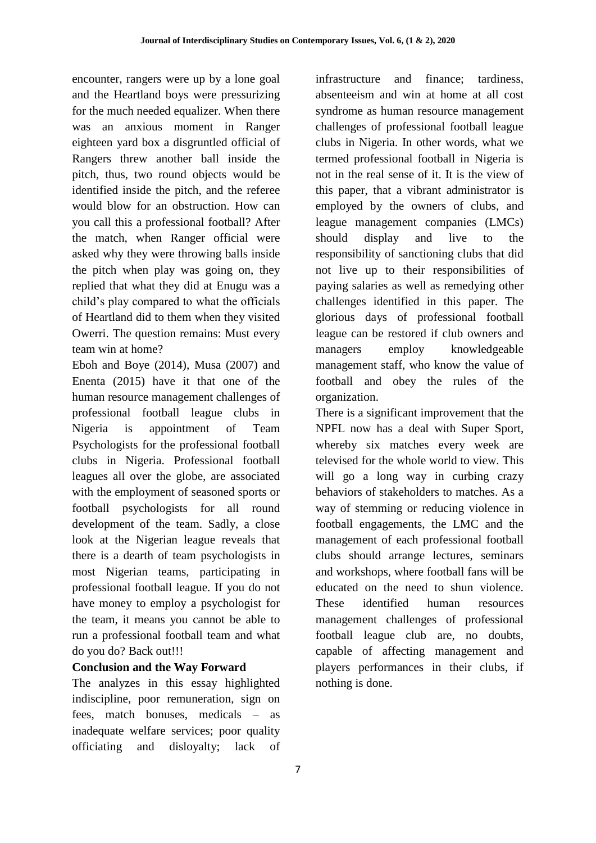encounter, rangers were up by a lone goal and the Heartland boys were pressurizing for the much needed equalizer. When there was an anxious moment in Ranger eighteen yard box a disgruntled official of Rangers threw another ball inside the pitch, thus, two round objects would be identified inside the pitch, and the referee would blow for an obstruction. How can you call this a professional football? After the match, when Ranger official were asked why they were throwing balls inside the pitch when play was going on, they replied that what they did at Enugu was a child's play compared to what the officials of Heartland did to them when they visited Owerri. The question remains: Must every team win at home?

Eboh and Boye (2014), Musa (2007) and Enenta (2015) have it that one of the human resource management challenges of professional football league clubs in Nigeria is appointment of Team Psychologists for the professional football clubs in Nigeria. Professional football leagues all over the globe, are associated with the employment of seasoned sports or football psychologists for all round development of the team. Sadly, a close look at the Nigerian league reveals that there is a dearth of team psychologists in most Nigerian teams, participating in professional football league. If you do not have money to employ a psychologist for the team, it means you cannot be able to run a professional football team and what do you do? Back out!!!

## **Conclusion and the Way Forward**

The analyzes in this essay highlighted indiscipline, poor remuneration, sign on fees, match bonuses, medicals – as inadequate welfare services; poor quality officiating and disloyalty; lack of infrastructure and finance; tardiness, absenteeism and win at home at all cost syndrome as human resource management challenges of professional football league clubs in Nigeria. In other words, what we termed professional football in Nigeria is not in the real sense of it. It is the view of this paper, that a vibrant administrator is employed by the owners of clubs, and league management companies (LMCs) should display and live to the responsibility of sanctioning clubs that did not live up to their responsibilities of paying salaries as well as remedying other challenges identified in this paper. The glorious days of professional football league can be restored if club owners and managers employ knowledgeable management staff, who know the value of football and obey the rules of the organization.

There is a significant improvement that the NPFL now has a deal with Super Sport, whereby six matches every week are televised for the whole world to view. This will go a long way in curbing crazy behaviors of stakeholders to matches. As a way of stemming or reducing violence in football engagements, the LMC and the management of each professional football clubs should arrange lectures, seminars and workshops, where football fans will be educated on the need to shun violence. These identified human resources management challenges of professional football league club are, no doubts, capable of affecting management and players performances in their clubs, if nothing is done.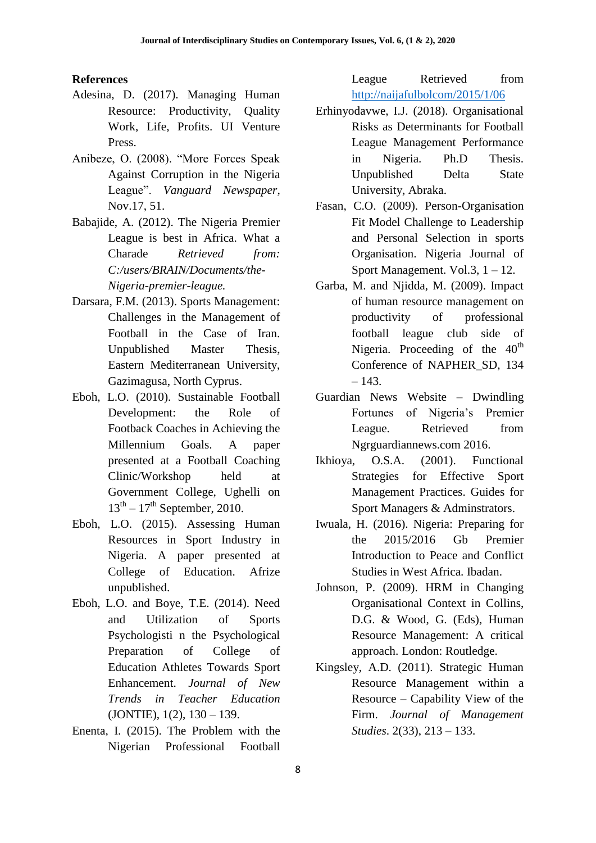#### **References**

- Adesina, D. (2017). Managing Human Resource: Productivity, Quality Work, Life, Profits. UI Venture Press.
- Anibeze, O. (2008). "More Forces Speak Against Corruption in the Nigeria League". *Vanguard Newspaper*, Nov.17, 51.
- Babajide, A. (2012). The Nigeria Premier League is best in Africa. What a Charade *Retrieved from: C:/users/BRAIN/Documents/the-Nigeria-premier-league.*
- Darsara, F.M. (2013). Sports Management: Challenges in the Management of Football in the Case of Iran. Unpublished Master Thesis, Eastern Mediterranean University, Gazimagusa, North Cyprus.
- Eboh, L.O. (2010). Sustainable Football Development: the Role of Footback Coaches in Achieving the Millennium Goals. A paper presented at a Football Coaching Clinic/Workshop held at Government College, Ughelli on  $13<sup>th</sup> - 17<sup>th</sup>$  September, 2010.
- Eboh, L.O. (2015). Assessing Human Resources in Sport Industry in Nigeria. A paper presented at College of Education. Afrize unpublished.
- Eboh, L.O. and Boye, T.E. (2014). Need and Utilization of Sports Psychologisti n the Psychological Preparation of College of Education Athletes Towards Sport Enhancement. *Journal of New Trends in Teacher Education*   $(JONTIE), 1(2), 130 - 139.$
- Enenta, I. (2015). The Problem with the Nigerian Professional Football

League Retrieved from <http://naijafulbolcom/2015/1/06>

- Erhinyodavwe, I.J. (2018). Organisational Risks as Determinants for Football League Management Performance in Nigeria. Ph.D Thesis. Unpublished Delta State University, Abraka.
- Fasan, C.O. (2009). Person-Organisation Fit Model Challenge to Leadership and Personal Selection in sports Organisation. Nigeria Journal of Sport Management. Vol.3, 1 – 12.
- Garba, M. and Njidda, M. (2009). Impact of human resource management on productivity of professional football league club side of Nigeria. Proceeding of the  $40<sup>th</sup>$ Conference of NAPHER\_SD, 134  $-143.$
- Guardian News Website Dwindling Fortunes of Nigeria's Premier League. Retrieved from Ngrguardiannews.com 2016.
- Ikhioya, O.S.A. (2001). Functional Strategies for Effective Sport Management Practices. Guides for Sport Managers & Adminstrators.
- Iwuala, H. (2016). Nigeria: Preparing for the 2015/2016 Gb Premier Introduction to Peace and Conflict Studies in West Africa. Ibadan.
- Johnson, P. (2009). HRM in Changing Organisational Context in Collins, D.G. & Wood, G. (Eds), Human Resource Management: A critical approach. London: Routledge.
- Kingsley, A.D. (2011). Strategic Human Resource Management within a Resource – Capability View of the Firm. *Journal of Management Studies*. 2(33), 213 – 133.